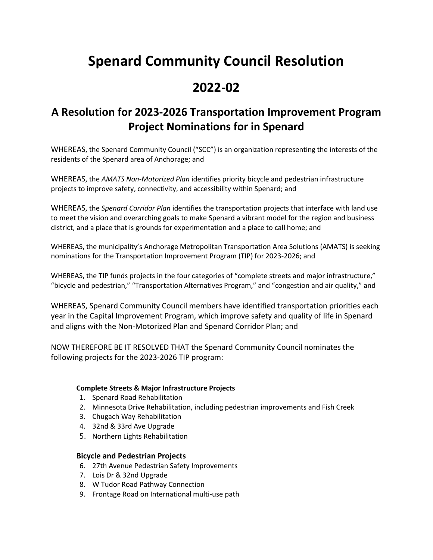# **Spenard Community Council Resolution**

## **2022-02**

### **A Resolution for 2023-2026 Transportation Improvement Program Project Nominations for in Spenard**

WHEREAS, the Spenard Community Council ("SCC") is an organization representing the interests of the residents of the Spenard area of Anchorage; and

WHEREAS, the *AMATS Non-Motorized Plan* identifies priority bicycle and pedestrian infrastructure projects to improve safety, connectivity, and accessibility within Spenard; and

WHEREAS, the *Spenard Corridor Plan* identifies the transportation projects that interface with land use to meet the vision and overarching goals to make Spenard a vibrant model for the region and business district, and a place that is grounds for experimentation and a place to call home; and

WHEREAS, the municipality's Anchorage Metropolitan Transportation Area Solutions (AMATS) is seeking nominations for the Transportation Improvement Program (TIP) for 2023-2026; and

WHEREAS, the TIP funds projects in the four categories of "complete streets and major infrastructure," "bicycle and pedestrian," "Transportation Alternatives Program," and "congestion and air quality," and

WHEREAS, Spenard Community Council members have identified transportation priorities each year in the Capital Improvement Program, which improve safety and quality of life in Spenard and aligns with the Non-Motorized Plan and Spenard Corridor Plan; and

NOW THEREFORE BE IT RESOLVED THAT the Spenard Community Council nominates the following projects for the 2023-2026 TIP program:

#### **Complete Streets & Major Infrastructure Projects**

- 1. Spenard Road Rehabilitation
- 2. Minnesota Drive Rehabilitation, including pedestrian improvements and Fish Creek
- 3. Chugach Way Rehabilitation
- 4. 32nd & 33rd Ave Upgrade
- 5. Northern Lights Rehabilitation

#### **Bicycle and Pedestrian Projects**

- 6. 27th Avenue Pedestrian Safety Improvements
- 7. Lois Dr & 32nd Upgrade
- 8. W Tudor Road Pathway Connection
- 9. Frontage Road on International multi-use path